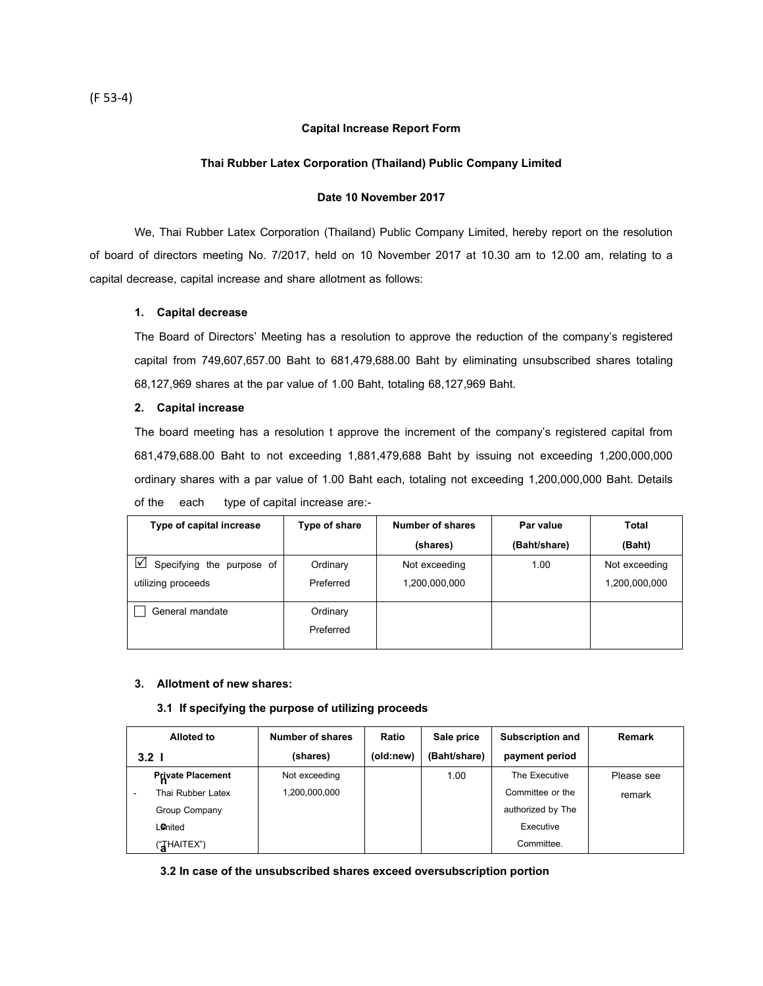## **Capital Increase Report Form**

## **Thai Rubber Latex Corporation (Thailand) Public Company Limited**

## **Date 10 November 2017**

We, Thai Rubber Latex Corporation (Thailand) Public Company Limited, hereby report on the resolution of board of directors meeting No. 7/2017, held on 10 November 2017 at 10.30 am to 12.00 am, relating to a capital decrease, capital increase and share allotment as follows:

## **1. Capital decrease**

The Board of Directors' Meeting has a resolution to approve the reduction of the company's registered capital from 749,607,657.00 Baht to 681,479,688.00 Baht by eliminating unsubscribed shares totaling 68,127,969 shares at the par value of 1.00 Baht, totaling 68,127,969 Baht.

## **2. Capital increase**

The board meeting has a resolution t approve the increment of the company's registered capital from 681,479,688.00 Baht to not exceeding 1,881,479,688 Baht by issuing not exceeding 1,200,000,000 ordinary shares with a par value of 1.00 Baht each, totaling not exceeding 1,200,000,000 Baht. Details of the each type of capital increase are:-

| Type of capital increase       | Type of share | Number of shares | Par value    | Total         |
|--------------------------------|---------------|------------------|--------------|---------------|
|                                |               | (shares)         | (Baht/share) | (Baht)        |
| ☑<br>Specifying the purpose of | Ordinary      | Not exceeding    | 1.00         | Not exceeding |
| utilizing proceeds             | Preferred     | 1,200,000,000    |              | 1,200,000,000 |
| General mandate                | Ordinary      |                  |              |               |
|                                | Preferred     |                  |              |               |

## **3. Allotment of new shares:**

### **3.1 If specifying the purpose of utilizing proceeds**

| <b>Alloted to</b>        | Number of shares | Ratio     | Sale price   | <b>Subscription and</b> | Remark     |
|--------------------------|------------------|-----------|--------------|-------------------------|------------|
| 3.2 <sub>1</sub>         | (shares)         | (old:new) | (Baht/share) | payment period          |            |
| <b>Private Placement</b> | Not exceeding    |           | 1.00         | The Executive           | Please see |
| Thai Rubber Latex        | 1,200,000,000    |           |              | Committee or the        | remark     |
| Group Company            |                  |           |              | authorized by The       |            |
| Lonited                  |                  |           |              | Executive               |            |
| ("THAITEX")              |                  |           |              | Committee.              |            |

**3.2 In case of the unsubscribed shares exceed oversubscription portion**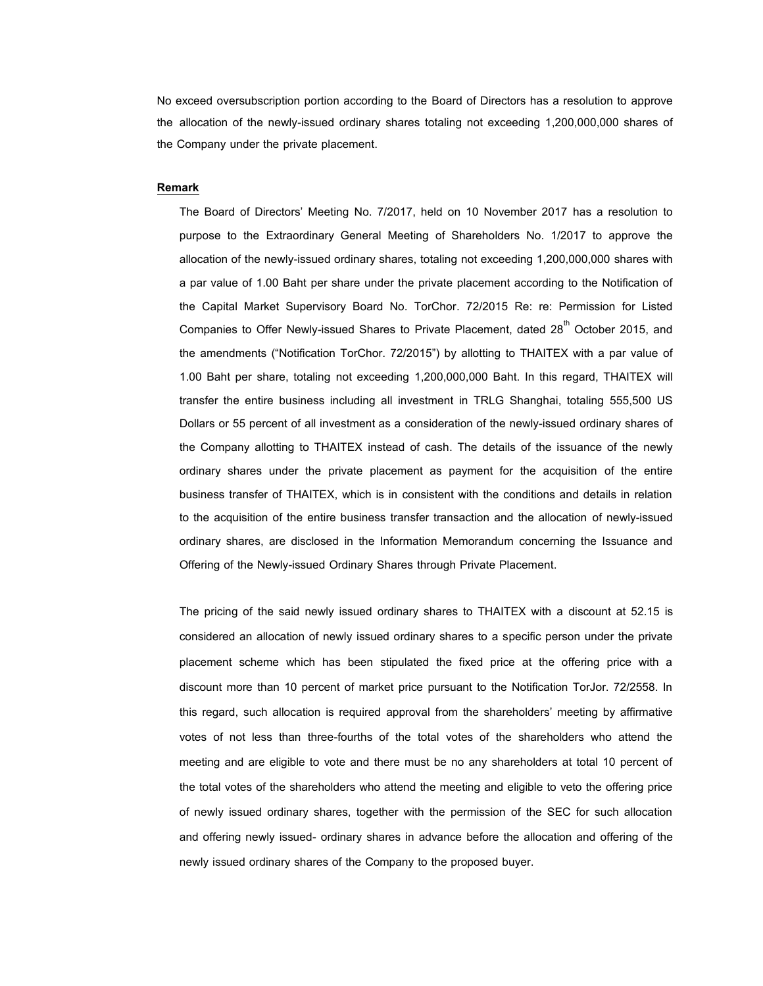No exceed oversubscription portion according to the Board of Directors has a resolution to approve the allocation of the newly-issued ordinary shares totaling not exceeding 1,200,000,000 shares of the Company under the private placement.

#### **Remark**

The Board of Directors' Meeting No. 7/2017, held on 10 November 2017 has a resolution to purpose to the Extraordinary General Meeting of Shareholders No. 1/2017 to approve the allocation of the newly-issued ordinary shares, totaling not exceeding 1,200,000,000 shares with a par value of 1.00 Baht per share under the private placement according to the Notification of the Capital Market Supervisory Board No. TorChor. 72/2015 Re: re: Permission for Listed Companies to Offer Newly-issued Shares to Private Placement, dated  $28<sup>th</sup>$  October 2015, and the amendments ("Notification TorChor. 72/2015") by allotting to THAITEX with a par value of 1.00 Baht per share, totaling not exceeding 1,200,000,000 Baht. In this regard, THAITEX will transfer the entire business including all investment in TRLG Shanghai, totaling 555,500 US Dollars or 55 percent of all investment as a consideration of the newly-issued ordinary shares of the Company allotting to THAITEX instead of cash. The details of the issuance of the newly ordinary shares under the private placement as payment for the acquisition of the entire business transfer of THAITEX, which is in consistent with the conditions and details in relation to the acquisition of the entire business transfer transaction and the allocation of newly-issued ordinary shares, are disclosed in the Information Memorandum concerning the Issuance and Offering of the Newly-issued Ordinary Shares through Private Placement.

The pricing of the said newly issued ordinary shares to THAITEX with a discount at 52.15 is considered an allocation of newly issued ordinary shares to a specific person under the private placement scheme which has been stipulated the fixed price at the offering price with a discount more than 10 percent of market price pursuant to the Notification TorJor. 72/2558. In this regard, such allocation is required approval from the shareholders' meeting by affirmative votes of not less than three-fourths of the total votes of the shareholders who attend the meeting and are eligible to vote and there must be no any shareholders at total 10 percent of the total votes of the shareholders who attend the meeting and eligible to veto the offering price of newly issued ordinary shares, together with the permission of the SEC for such allocation and offering newly issued- ordinary shares in advance before the allocation and offering of the newly issued ordinary shares of the Company to the proposed buyer.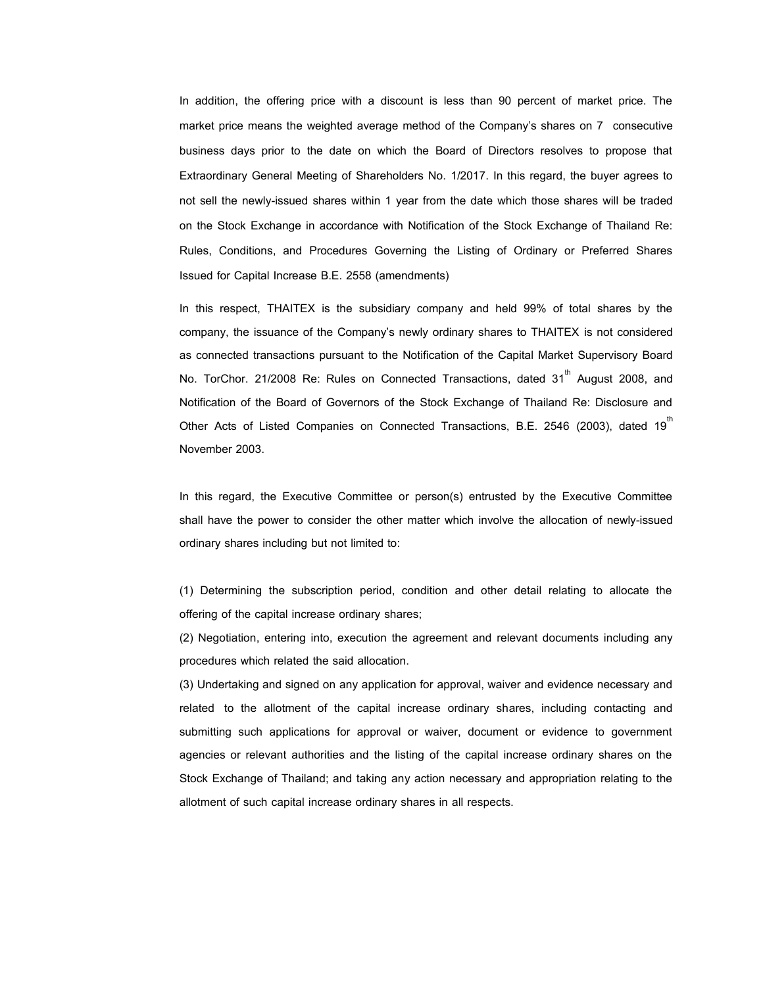In addition, the offering price with a discount is less than 90 percent of market price. The market price means the weighted average method of the Company's shares on 7 consecutive business days prior to the date on which the Board of Directors resolves to propose that Extraordinary General Meeting of Shareholders No. 1/2017. In this regard, the buyer agrees to not sell the newly-issued shares within 1 year from the date which those shares will be traded on the Stock Exchange in accordance with Notification of the Stock Exchange of Thailand Re: Rules, Conditions, and Procedures Governing the Listing of Ordinary or Preferred Shares Issued for Capital Increase B.E. 2558 (amendments)

In this respect, THAITEX is the subsidiary company and held 99% of total shares by the company, the issuance of the Company's newly ordinary shares to THAITEX is not considered as connected transactions pursuant to the Notification of the Capital Market Supervisory Board No. TorChor. 21/2008 Re: Rules on Connected Transactions, dated 31<sup>th</sup> August 2008, and Notification of the Board of Governors of the Stock Exchange of Thailand Re: Disclosure and Other Acts of Listed Companies on Connected Transactions, B.E. 2546 (2003), dated 19 $^{\text{m}}$ November 2003.

In this regard, the Executive Committee or person(s) entrusted by the Executive Committee shall have the power to consider the other matter which involve the allocation of newly-issued ordinary shares including but not limited to:

(1) Determining the subscription period, condition and other detail relating to allocate the offering of the capital increase ordinary shares;

(2) Negotiation, entering into, execution the agreement and relevant documents including any procedures which related the said allocation.

(3) Undertaking and signed on any application for approval, waiver and evidence necessary and related to the allotment of the capital increase ordinary shares, including contacting and submitting such applications for approval or waiver, document or evidence to government agencies or relevant authorities and the listing of the capital increase ordinary shares on the Stock Exchange of Thailand; and taking any action necessary and appropriation relating to the allotment of such capital increase ordinary shares in all respects.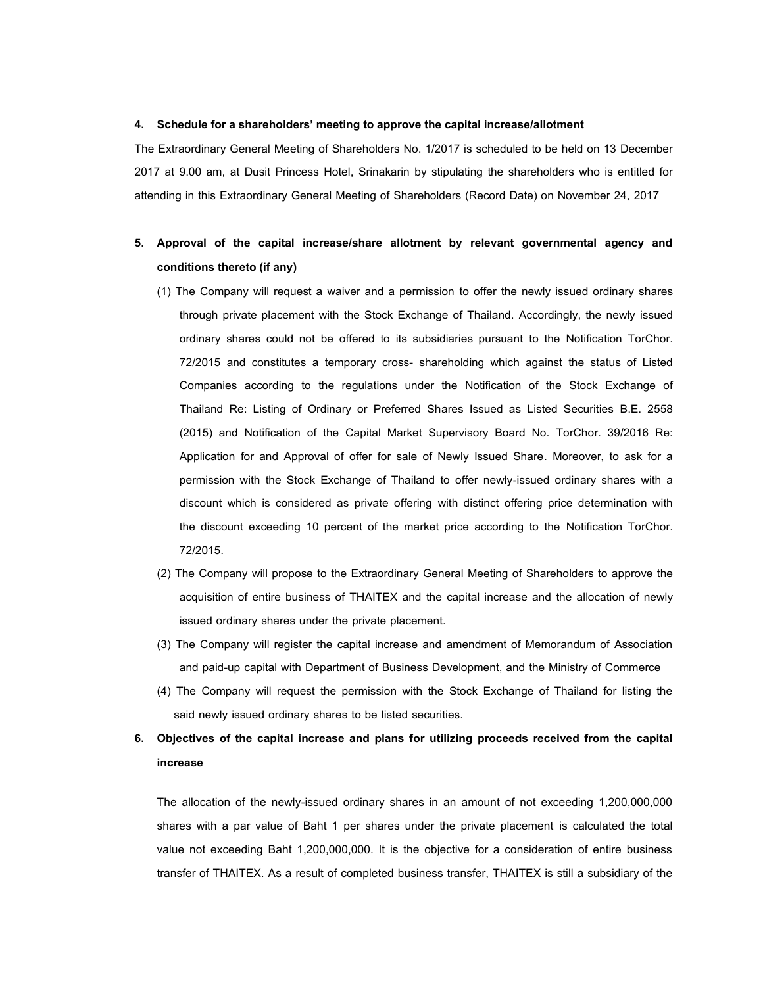#### **4. Schedule for a shareholders' meeting to approve the capital increase/allotment**

The Extraordinary General Meeting of Shareholders No. 1/2017 is scheduled to be held on 13 December 2017 at 9.00 am, at Dusit Princess Hotel, Srinakarin by stipulating the shareholders who is entitled for attending in this Extraordinary General Meeting of Shareholders (Record Date) on November 24, 2017

# **5. Approval of the capital increase/share allotment by relevant governmental agency and conditions thereto (if any)**

- (1) The Company will request a waiver and a permission to offer the newly issued ordinary shares through private placement with the Stock Exchange of Thailand. Accordingly, the newly issued ordinary shares could not be offered to its subsidiaries pursuant to the Notification TorChor. 72/2015 and constitutes a temporary cross- shareholding which against the status of Listed Companies according to the regulations under the Notification of the Stock Exchange of Thailand Re: Listing of Ordinary or Preferred Shares Issued as Listed Securities B.E. 2558 (2015) and Notification of the Capital Market Supervisory Board No. TorChor. 39/2016 Re: Application for and Approval of offer for sale of Newly Issued Share. Moreover, to ask for a permission with the Stock Exchange of Thailand to offer newly-issued ordinary shares with a discount which is considered as private offering with distinct offering price determination with the discount exceeding 10 percent of the market price according to the Notification TorChor. 72/2015.
- (2) The Company will propose to the Extraordinary General Meeting of Shareholders to approve the acquisition of entire business of THAITEX and the capital increase and the allocation of newly issued ordinary shares under the private placement.
- (3) The Company will register the capital increase and amendment of Memorandum of Association and paid-up capital with Department of Business Development, and the Ministry of Commerce
- (4) The Company will request the permission with the Stock Exchange of Thailand for listing the said newly issued ordinary shares to be listed securities.

## **6. Objectives of the capital increase and plans for utilizing proceeds received from the capital increase**

The allocation of the newly-issued ordinary shares in an amount of not exceeding 1,200,000,000 shares with a par value of Baht 1 per shares under the private placement is calculated the total value not exceeding Baht 1,200,000,000. It is the objective for a consideration of entire business transfer of THAITEX. As a result of completed business transfer, THAITEX is still a subsidiary of the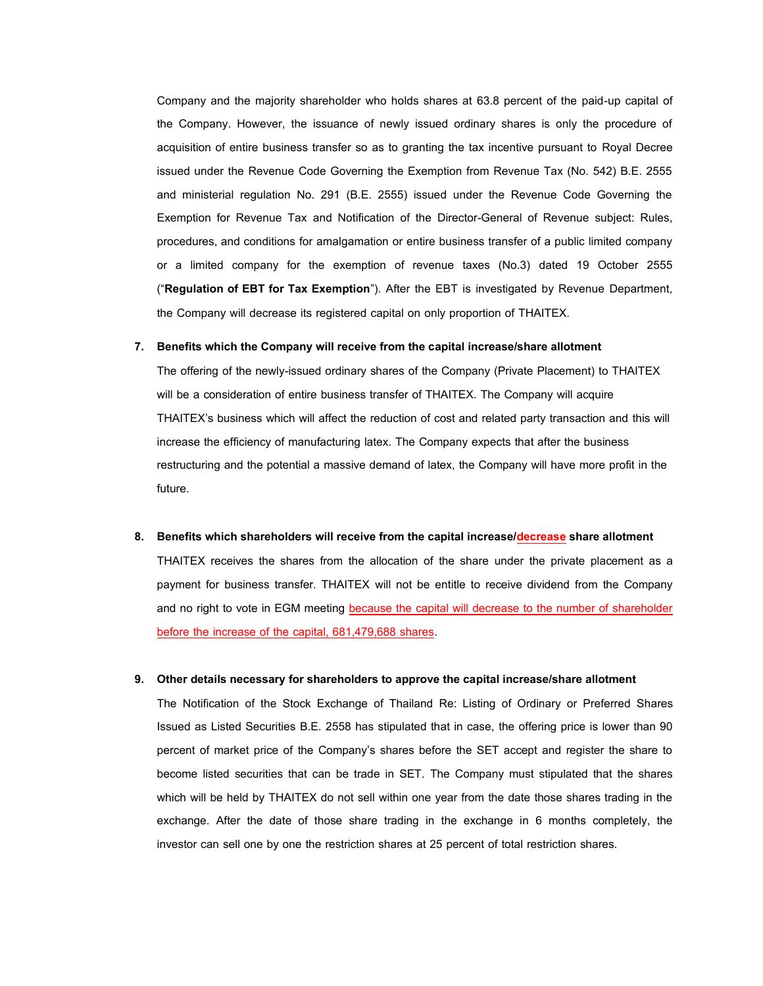Company and the majority shareholder who holds shares at 63.8 percent of the paid-up capital of the Company. However, the issuance of newly issued ordinary shares is only the procedure of acquisition of entire business transfer so as to granting the tax incentive pursuant to Royal Decree issued under the Revenue Code Governing the Exemption from Revenue Tax (No. 542) B.E. 2555 and ministerial regulation No. 291 (B.E. 2555) issued under the Revenue Code Governing the Exemption for Revenue Tax and Notification of the Director-General of Revenue subject: Rules, procedures, and conditions for amalgamation or entire business transfer of a public limited company or a limited company for the exemption of revenue taxes (No.3) dated 19 October 2555 ("**Regulation of EBT for Tax Exemption**"). After the EBT is investigated by Revenue Department, the Company will decrease its registered capital on only proportion of THAITEX.

## **7. Benefits which the Company will receive from the capital increase/share allotment**

The offering of the newly-issued ordinary shares of the Company (Private Placement) to THAITEX will be a consideration of entire business transfer of THAITEX. The Company will acquire THAITEX's business which will affect the reduction of cost and related party transaction and this will increase the efficiency of manufacturing latex. The Company expects that after the business restructuring and the potential a massive demand of latex, the Company will have more profit in the future.

8. Benefits which shareholders will receive from the capital increase/decrease share allotment

THAITEX receives the shares from the allocation of the share under the private placement as a payment for business transfer. THAITEX will not be entitle to receive dividend from the Company and no right to vote in EGM meeting because the capital will decrease to the number of shareholder before the increase of the capital, 681,479,688 shares.

## **9. Other details necessary for shareholders to approve the capital increase/share allotment**

The Notification of the Stock Exchange of Thailand Re: Listing of Ordinary or Preferred Shares Issued as Listed Securities B.E. 2558 has stipulated that in case, the offering price is lower than 90 percent of market price of the Company's shares before the SET accept and register the share to become listed securities that can be trade in SET. The Company must stipulated that the shares which will be held by THAITEX do not sell within one year from the date those shares trading in the exchange. After the date of those share trading in the exchange in 6 months completely, the investor can sell one by one the restriction shares at 25 percent of total restriction shares.